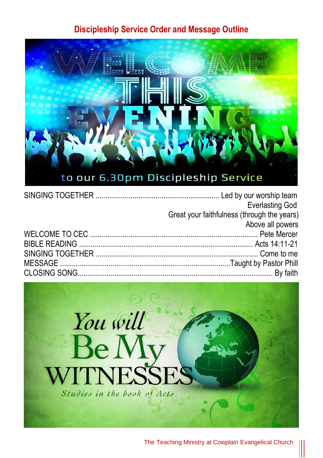#### **Discipleship Service Order and Message Outline**



| <b>Everlasting God</b>                      |
|---------------------------------------------|
| Great your faithfulness (through the years) |
| Above all powers                            |
|                                             |
|                                             |
|                                             |
|                                             |
|                                             |



The Teaching Ministry at Cowplain Evangelical Church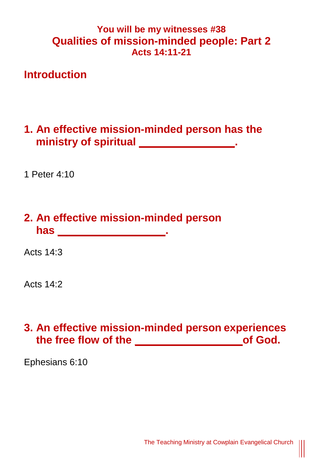#### **You will be my witnesses #38 Qualities of mission-minded people: Part 2 Acts 14:11-21**

#### **Introduction**

#### **1. An effective mission-minded person has the ministry of spiritual \_\_\_\_\_\_\_\_\_\_\_\_\_\_\_\_.**

1 Peter 4:10

# **2. An effective mission-minded person has \_\_\_\_\_\_\_\_\_\_\_\_\_\_\_\_\_\_.**

Acts 14:3

Acts 14:2

### **3. An effective mission-minded person experiences the free flow of the \_\_\_\_\_\_\_\_\_\_\_\_\_\_\_\_\_\_of God.**

Ephesians 6:10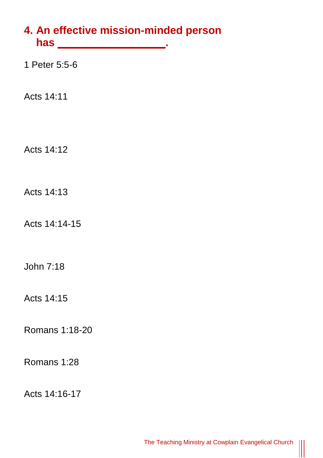# **4. An effective mission-minded person has \_\_\_\_\_\_\_\_\_\_\_\_\_\_\_\_\_\_.**

1 Peter 5:5-6

Acts 14:11

Acts 14:12

Acts 14:13

Acts 14:14-15

John 7:18

Acts 14:15

Romans 1:18-20

Romans 1:28

Acts 14:16-17